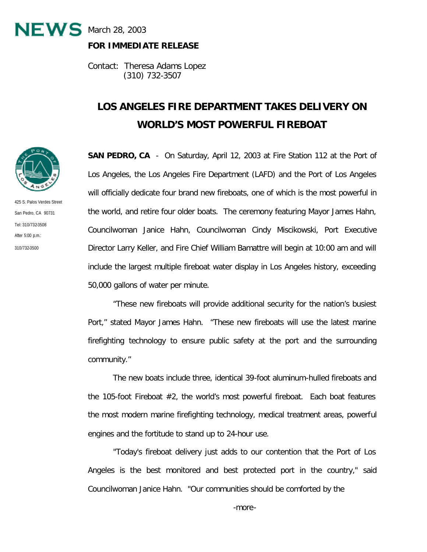$NEWS$  March 28, 2003



425 S. Palos Verdes Street San Pedro, CA 90731 Tel: 310/732-3508 After 5:00 p.m.: 310/732-3500

## **FOR IMMEDIATE RELEASE**

Contact: Theresa Adams Lopez (310) 732-3507

## **LOS ANGELES FIRE DEPARTMENT TAKES DELIVERY ON WORLD'S MOST POWERFUL FIREBOAT**

**SAN PEDRO, CA** - On Saturday, April 12, 2003 at Fire Station 112 at the Port of Los Angeles, the Los Angeles Fire Department (LAFD) and the Port of Los Angeles will officially dedicate four brand new fireboats, one of which is the most powerful in the world, and retire four older boats. The ceremony featuring Mayor James Hahn, Councilwoman Janice Hahn, Councilwoman Cindy Miscikowski, Port Executive Director Larry Keller, and Fire Chief William Bamattre will begin at 10:00 am and will include the largest multiple fireboat water display in Los Angeles history, exceeding 50,000 gallons of water per minute.

"These new fireboats will provide additional security for the nation's busiest Port," stated Mayor James Hahn. "These new fireboats will use the latest marine firefighting technology to ensure public safety at the port and the surrounding community."

The new boats include three, identical 39-foot aluminum-hulled fireboats and the 105-foot *Fireboat #2*, the world's most powerful fireboat. Each boat features the most modern marine firefighting technology, medical treatment areas, powerful engines and the fortitude to stand up to 24-hour use.

"Today's fireboat delivery just adds to our contention that the Port of Los Angeles is the best monitored and best protected port in the country," said Councilwoman Janice Hahn. "Our communities should be comforted by the

-more-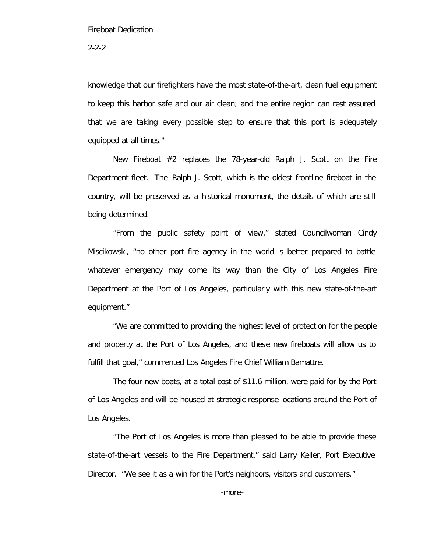2-2-2

knowledge that our firefighters have the most state-of-the-art, clean fuel equipment to keep this harbor safe and our air clean; and the entire region can rest assured that we are taking every possible step to ensure that this port is adequately equipped at all times."

New *Fireboat #2* replaces the 78-year-old *Ralph J. Scott* on the Fire Department fleet. The *Ralph J. Scott*, which is the oldest frontline fireboat in the country, will be preserved as a historical monument, the details of which are still being determined.

"From the public safety point of view," stated Councilwoman Cindy Miscikowski, "no other port fire agency in the world is better prepared to battle whatever emergency may come its way than the City of Los Angeles Fire Department at the Port of Los Angeles, particularly with this new state-of-the-art equipment."

"We are committed to providing the highest level of protection for the people and property at the Port of Los Angeles, and these new fireboats will allow us to fulfill that goal," commented Los Angeles Fire Chief William Bamattre.

The four new boats, at a total cost of \$11.6 million, were paid for by the Port of Los Angeles and will be housed at strategic response locations around the Port of Los Angeles.

"The Port of Los Angeles is more than pleased to be able to provide these state-of-the-art vessels to the Fire Department," said Larry Keller, Port Executive Director. "We see it as a win for the Port's neighbors, visitors and customers."

-more-